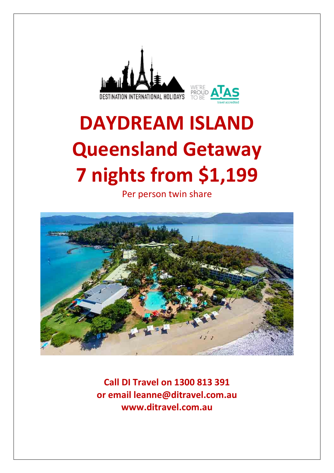



# **DAYDREAM ISLAND Queensland Getaway 7 nights from \$1,199**

Per person twin share



**Call DI Travel on 1300 813 391 or email leanne@ditravel.com.au www.ditravel.com.au**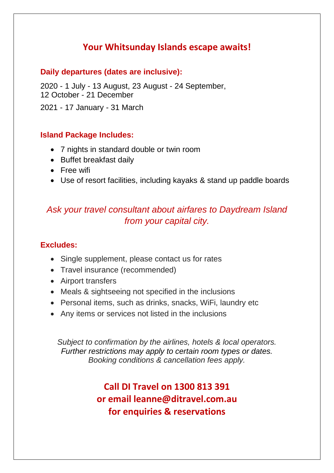# **Your Whitsunday Islands escape awaits!**

## **Daily departures (dates are inclusive):**

2020 - 1 July - 13 August, 23 August - 24 September, 12 October - 21 December

2021 - 17 January - 31 March

## **Island Package Includes:**

- 7 nights in standard double or twin room
- Buffet breakfast daily
- Free wifi
- Use of resort facilities, including kayaks & stand up paddle boards

# *Ask your travel consultant about airfares to Daydream Island from your capital city.*

## **Excludes:**

- Single supplement, please contact us for rates
- Travel insurance (recommended)
- Airport transfers
- Meals & sightseeing not specified in the inclusions
- Personal items, such as drinks, snacks, WiFi, laundry etc
- Any items or services not listed in the inclusions

*Subject to confirmation by the airlines, hotels & local operators. Further restrictions may apply to certain room types or dates. Booking conditions & cancellation fees apply.*

> **Call DI Travel on 1300 813 391 or email leanne@ditravel.com.au for enquiries & reservations**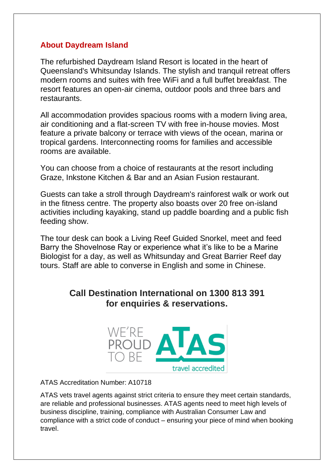## **About Daydream Island**

The refurbished Daydream Island Resort is located in the heart of Queensland's Whitsunday Islands. The stylish and tranquil retreat offers modern rooms and suites with free WiFi and a full buffet breakfast. The resort features an open-air cinema, outdoor pools and three bars and restaurants.

All accommodation provides spacious rooms with a modern living area, air conditioning and a flat-screen TV with free in-house movies. Most feature a private balcony or terrace with views of the ocean, marina or tropical gardens. Interconnecting rooms for families and accessible rooms are available.

You can choose from a choice of restaurants at the resort including Graze, Inkstone Kitchen & Bar and an Asian Fusion restaurant.

Guests can take a stroll through Daydream's rainforest walk or work out in the fitness centre. The property also boasts over 20 free on-island activities including kayaking, stand up paddle boarding and a public fish feeding show.

The tour desk can book a Living Reef Guided Snorkel, meet and feed Barry the Shovelnose Ray or experience what it's like to be a Marine Biologist for a day, as well as Whitsunday and Great Barrier Reef day tours. Staff are able to converse in English and some in Chinese.

## **Call Destination International on 1300 813 391 for enquiries & reservations.**



ATAS Accreditation Number: A10718

ATAS vets travel agents against strict criteria to ensure they meet certain standards, are reliable and professional businesses. ATAS agents need to meet high levels of business discipline, training, compliance with Australian Consumer Law and compliance with a strict code of conduct – ensuring your piece of mind when booking travel.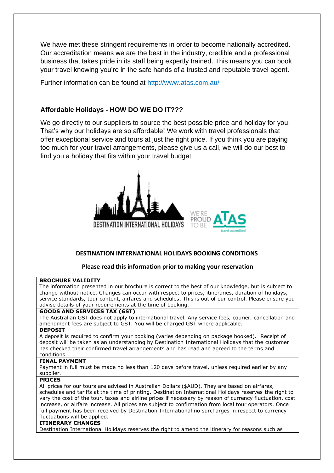We have met these stringent requirements in order to become nationally accredited. Our accreditation means we are the best in the industry, credible and a professional business that takes pride in its staff being expertly trained. This means you can book your travel knowing you're in the safe hands of a trusted and reputable travel agent.

Further information can be found at<http://www.atas.com.au/>

### **Affordable Holidays - HOW DO WE DO IT???**

We go directly to our suppliers to source the best possible price and holiday for you. That's why our holidays are so affordable! We work with travel professionals that offer exceptional service and tours at just the right price. If you think you are paying too much for your travel arrangements, please give us a call, we will do our best to find you a holiday that fits within your travel budget.



#### **DESTINATION INTERNATIONAL HOLIDAYS BOOKING CONDITIONS**

#### **Please read this information prior to making your reservation**

#### **BROCHURE VALIDITY**

The information presented in our brochure is correct to the best of our knowledge, but is subject to change without notice. Changes can occur with respect to prices, itineraries, duration of holidays, service standards, tour content, airfares and schedules. This is out of our control. Please ensure you advise details of your requirements at the time of booking.

#### **GOODS AND SERVICES TAX (GST)**

The Australian GST does not apply to international travel. Any service fees, courier, cancellation and amendment fees are subject to GST. You will be charged GST where applicable.

#### **DEPOSIT**

A deposit is required to confirm your booking (varies depending on package booked). Receipt of deposit will be taken as an understanding by Destination International Holidays that the customer has checked their confirmed travel arrangements and has read and agreed to the terms and conditions.

#### **FINAL PAYMENT**

Payment in full must be made no less than 120 days before travel, unless required earlier by any supplier.

#### **PRICES**

All prices for our tours are advised in Australian Dollars (\$AUD). They are based on airfares, schedules and tariffs at the time of printing. Destination International Holidays reserves the right to vary the cost of the tour, taxes and airline prices if necessary by reason of currency fluctuation, cost increase, or airfare increase. All prices are subject to confirmation from local tour operators. Once full payment has been received by Destination International no surcharges in respect to currency fluctuations will be applied.

#### **ITINERARY CHANGES**

Destination International Holidays reserves the right to amend the itinerary for reasons such as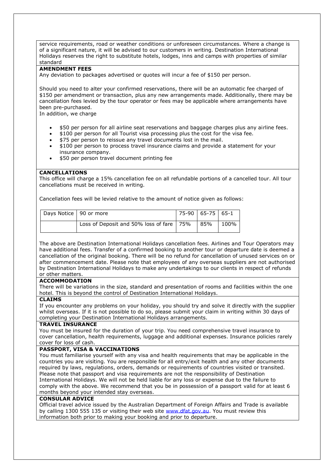service requirements, road or weather conditions or unforeseen circumstances. Where a change is of a significant nature, it will be advised to our customers in writing. Destination International Holidays reserves the right to substitute hotels, lodges, inns and camps with properties of similar standard

#### **AMENDMENT FEES**

Any deviation to packages advertised or quotes will incur a fee of \$150 per person.

Should you need to alter your confirmed reservations, there will be an automatic fee charged of \$150 per amendment or transaction, plus any new arrangements made. Additionally, there may be cancellation fees levied by the tour operator or fees may be applicable where arrangements have been pre-purchased.

In addition, we charge

- \$50 per person for all airline seat reservations and baggage charges plus any airline fees.
- \$100 per person for all Tourist visa processing plus the cost for the visa fee.
- \$75 per person to reissue any travel documents lost in the mail.
- \$100 per person to process travel insurance claims and provide a statement for your insurance company.
- \$50 per person travel document printing fee

#### **CANCELLATIONS**

This office will charge a 15% cancellation fee on all refundable portions of a cancelled tour. All tour cancellations must be received in writing.

Cancellation fees will be levied relative to the amount of notice given as follows:

| Days Notice   90 or more |                                            | $ 75-90 65-75 65-1$ |       |      |
|--------------------------|--------------------------------------------|---------------------|-------|------|
|                          | Loss of Deposit and 50% loss of fare   75% |                     | l 85% | 100% |

The above are Destination International Holidays cancellation fees. Airlines and Tour Operators may have additional fees. Transfer of a confirmed booking to another tour or departure date is deemed a cancellation of the original booking. There will be no refund for cancellation of unused services on or after commencement date. Please note that employees of any overseas suppliers are not authorised by Destination International Holidays to make any undertakings to our clients in respect of refunds or other matters.

#### **ACCOMMODATION**

There will be variations in the size, standard and presentation of rooms and facilities within the one hotel. This is beyond the control of Destination International Holidays.

#### **CLAIMS**

If you encounter any problems on your holiday, you should try and solve it directly with the supplier whilst overseas. If it is not possible to do so, please submit your claim in writing within 30 days of completing your Destination International Holidays arrangements.

#### **TRAVEL INSURANCE**

You must be insured for the duration of your trip. You need comprehensive travel insurance to cover cancellation, health requirements, luggage and additional expenses. Insurance policies rarely cover for loss of cash.

#### **PASSPORT, VISA & VACCINATIONS**

You must familiarise yourself with any visa and health requirements that may be applicable in the countries you are visiting. You are responsible for all entry/exit health and any other documents required by laws, regulations, orders, demands or requirements of countries visited or transited. Please note that passport and visa requirements are not the responsibility of Destination International Holidays. We will not be held liable for any loss or expense due to the failure to comply with the above. We recommend that you be in possession of a passport valid for at least 6 months beyond your intended stay overseas.

#### **CONSULAR ADVICE**

Official travel advice issued by the Australian Department of Foreign Affairs and Trade is available by calling 1300 555 135 or visiting their web site [www.dfat.gov.au.](http://www.dfat.gov.au/) You must review this information both prior to making your booking and prior to departure.